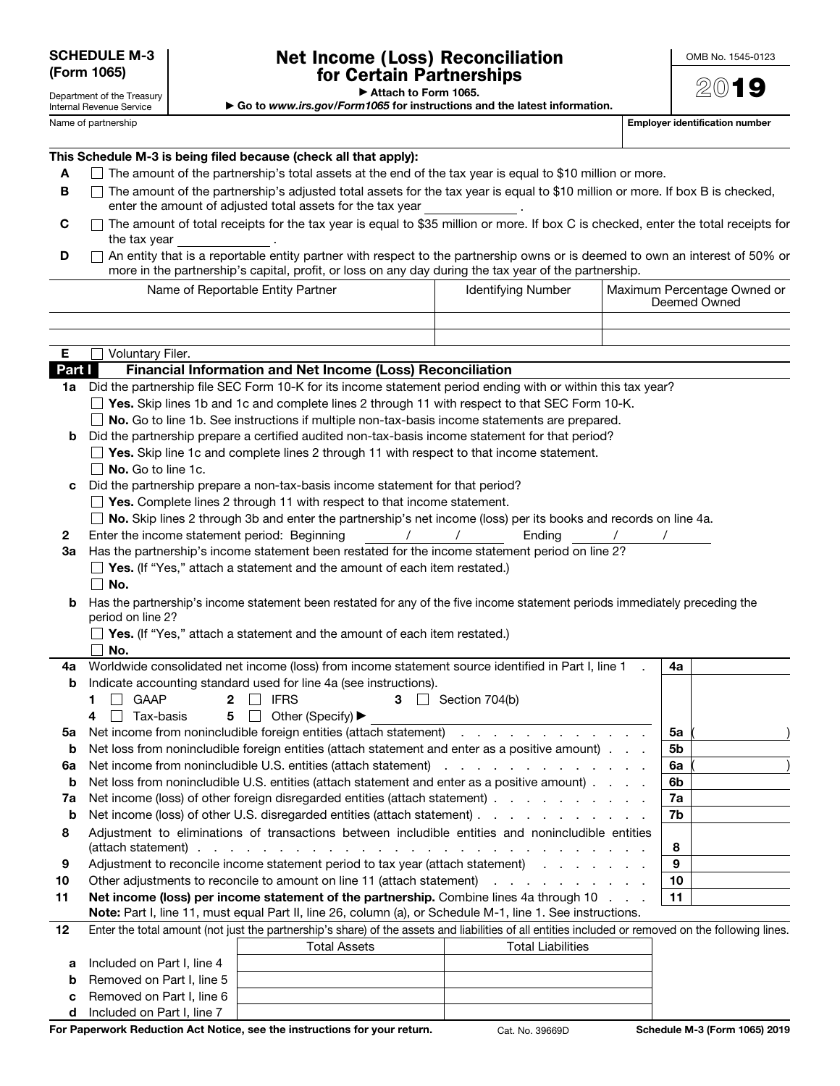Department of the Treasury

## Net Income (Loss) Reconciliation for Certain Partnerships

OMB No. 1545-0123

2019

▶ Attach to Form 1065.

▶ Go to *www.irs.gov/Form1065* for instructions and the latest information.

Name of partnership **Employer identification number Employer identification number** 

| This Schedule M-3 is being filed because (check all that apply): |  |
|------------------------------------------------------------------|--|
|------------------------------------------------------------------|--|

- $A \square$  The amount of the partnership's total assets at the end of the tax year is equal to \$10 million or more.
- $\blacksquare$  The amount of the partnership's adjusted total assets for the tax year is equal to \$10 million or more. If box B is checked, enter the amount of adjusted total assets for the tax year .
- $C$   $\Box$  The amount of total receipts for the tax year is equal to \$35 million or more. If box C is checked, enter the total receipts for the tax year
- D ∩ An entity that is a reportable entity partner with respect to the partnership owns or is deemed to own an interest of 50% or more in the partnership's capital, profit, or loss on any day during the tax year of the partnership.

Name of Reportable Entity Partner **Internal Internal Internal Internal Account** Internal Maximum Percentage Owned or

|                                                                                                                 |                                                                                                                                                     |                                 |  | Deemed Owned |  |
|-----------------------------------------------------------------------------------------------------------------|-----------------------------------------------------------------------------------------------------------------------------------------------------|---------------------------------|--|--------------|--|
|                                                                                                                 |                                                                                                                                                     |                                 |  |              |  |
|                                                                                                                 |                                                                                                                                                     |                                 |  |              |  |
| Е                                                                                                               | Voluntary Filer.                                                                                                                                    |                                 |  |              |  |
| Part I                                                                                                          | Financial Information and Net Income (Loss) Reconciliation                                                                                          |                                 |  |              |  |
|                                                                                                                 | 1a Did the partnership file SEC Form 10-K for its income statement period ending with or within this tax year?                                      |                                 |  |              |  |
|                                                                                                                 | $\Box$ Yes. Skip lines 1b and 1c and complete lines 2 through 11 with respect to that SEC Form 10-K.                                                |                                 |  |              |  |
|                                                                                                                 | $\Box$ No. Go to line 1b. See instructions if multiple non-tax-basis income statements are prepared.                                                |                                 |  |              |  |
|                                                                                                                 | <b>b</b> Did the partnership prepare a certified audited non-tax-basis income statement for that period?                                            |                                 |  |              |  |
|                                                                                                                 | $\Box$ Yes. Skip line 1c and complete lines 2 through 11 with respect to that income statement.                                                     |                                 |  |              |  |
|                                                                                                                 | $\Box$ No. Go to line 1c.                                                                                                                           |                                 |  |              |  |
| c                                                                                                               | Did the partnership prepare a non-tax-basis income statement for that period?                                                                       |                                 |  |              |  |
|                                                                                                                 | $\Box$ Yes. Complete lines 2 through 11 with respect to that income statement.                                                                      |                                 |  |              |  |
| No. Skip lines 2 through 3b and enter the partnership's net income (loss) per its books and records on line 4a. |                                                                                                                                                     |                                 |  |              |  |
| 2                                                                                                               | Enter the income statement period: Beginning                                                                                                        | Endina                          |  |              |  |
| За                                                                                                              | Has the partnership's income statement been restated for the income statement period on line 2?                                                     |                                 |  |              |  |
|                                                                                                                 | $\Box$ Yes. (If "Yes," attach a statement and the amount of each item restated.)                                                                    |                                 |  |              |  |
|                                                                                                                 | $\square$ No.                                                                                                                                       |                                 |  |              |  |
| b                                                                                                               | Has the partnership's income statement been restated for any of the five income statement periods immediately preceding the                         |                                 |  |              |  |
|                                                                                                                 | period on line 2?<br>$\Box$ Yes. (If "Yes," attach a statement and the amount of each item restated.)                                               |                                 |  |              |  |
|                                                                                                                 |                                                                                                                                                     |                                 |  |              |  |
|                                                                                                                 | No.                                                                                                                                                 |                                 |  |              |  |
| 4a                                                                                                              | Worldwide consolidated net income (loss) from income statement source identified in Part I, line 1                                                  |                                 |  | 4a           |  |
| b                                                                                                               | Indicate accounting standard used for line 4a (see instructions).                                                                                   |                                 |  |              |  |
|                                                                                                                 | GAAP<br><b>IFRS</b><br>$\mathbf{2}$<br>1                                                                                                            | $3 \Box$ Section 704(b)         |  |              |  |
|                                                                                                                 | $5\Box$<br>$\Box$ Tax-basis<br>Other (Specify) ▶<br>4                                                                                               |                                 |  |              |  |
| 5a                                                                                                              | Net income from nonincludible foreign entities (attach statement)                                                                                   |                                 |  | 5a           |  |
| b                                                                                                               | Net loss from nonincludible foreign entities (attach statement and enter as a positive amount).                                                     |                                 |  | 5b           |  |
| 6a                                                                                                              |                                                                                                                                                     |                                 |  | 6a           |  |
| b                                                                                                               | Net loss from nonincludible U.S. entities (attach statement and enter as a positive amount).                                                        |                                 |  | 6b           |  |
| 7a                                                                                                              | Net income (loss) of other foreign disregarded entities (attach statement)                                                                          |                                 |  | 7a           |  |
| b                                                                                                               | Net income (loss) of other U.S. disregarded entities (attach statement)                                                                             |                                 |  | 7b           |  |
| 8                                                                                                               | Adjustment to eliminations of transactions between includible entities and nonincludible entities                                                   |                                 |  |              |  |
|                                                                                                                 | .<br>In the contract of the contract of the contract of the contract of the contract of the contract of the contract of<br>(attach statement).      |                                 |  | 8            |  |
| 9                                                                                                               | Adjustment to reconcile income statement period to tax year (attach statement) and all contains a series of the                                     |                                 |  | 9            |  |
| 10                                                                                                              | Other adjustments to reconcile to amount on line 11 (attach statement)                                                                              | the contract of the contract of |  | 10           |  |
| 11                                                                                                              | Net income (loss) per income statement of the partnership. Combine lines 4a through 10                                                              |                                 |  | 11           |  |
|                                                                                                                 | Note: Part I, line 11, must equal Part II, line 26, column (a), or Schedule M-1, line 1. See instructions.                                          |                                 |  |              |  |
| 12                                                                                                              | Enter the total amount (not just the partnership's share) of the assets and liabilities of all entities included or removed on the following lines. |                                 |  |              |  |

|                                    | <b>Total Assets</b> | <b>Total Liabilities</b> |
|------------------------------------|---------------------|--------------------------|
| Included on Part I, line 4         |                     |                          |
| <b>b</b> Removed on Part I, line 5 |                     |                          |
| <b>c</b> Removed on Part I, line 6 |                     |                          |
| Included on Part I, line 7         |                     |                          |

For Paperwork Reduction Act Notice, see the instructions for your return. Cat. No. 39669D Schedule M-3 (Form 1065) 2019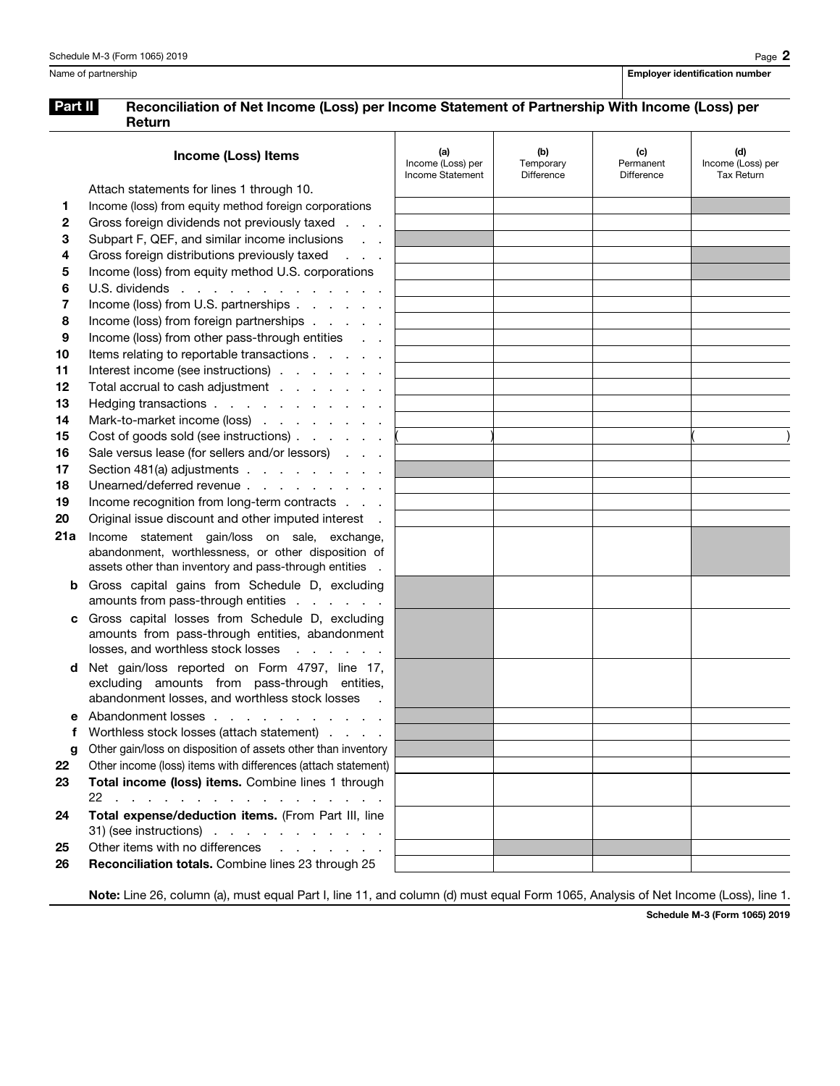## Part II Reconciliation of Net Income (Loss) per Income Statement of Partnership With Income (Loss) per Return

|         | <b>Income (Loss) Items</b>                                                                         | (a)<br>Income (Loss) per<br>Income Statement | (b)<br>Temporary<br>Difference | (c)<br>Permanent<br>Difference | (d)<br>Income (Loss) per<br><b>Tax Return</b> |
|---------|----------------------------------------------------------------------------------------------------|----------------------------------------------|--------------------------------|--------------------------------|-----------------------------------------------|
|         | Attach statements for lines 1 through 10.                                                          |                                              |                                |                                |                                               |
| 1.      | Income (loss) from equity method foreign corporations                                              |                                              |                                |                                |                                               |
| 2       | Gross foreign dividends not previously taxed                                                       |                                              |                                |                                |                                               |
| 3       | Subpart F, QEF, and similar income inclusions                                                      |                                              |                                |                                |                                               |
| 4       | Gross foreign distributions previously taxed<br>$\mathcal{L} = \mathcal{L} \times \mathcal{L}$     |                                              |                                |                                |                                               |
| 5       | Income (loss) from equity method U.S. corporations                                                 |                                              |                                |                                |                                               |
| 6       | U.S. dividends                                                                                     |                                              |                                |                                |                                               |
| 7       | Income (loss) from U.S. partnerships                                                               |                                              |                                |                                |                                               |
| 8       | Income (loss) from foreign partnerships                                                            |                                              |                                |                                |                                               |
| 9       | Income (loss) from other pass-through entities<br><b>Contract Contract</b>                         |                                              |                                |                                |                                               |
| 10      | Items relating to reportable transactions                                                          |                                              |                                |                                |                                               |
| 11      | Interest income (see instructions)                                                                 |                                              |                                |                                |                                               |
| 12      | Total accrual to cash adjustment                                                                   |                                              |                                |                                |                                               |
| 13      | Hedging transactions                                                                               |                                              |                                |                                |                                               |
| 14      | Mark-to-market income (loss)                                                                       |                                              |                                |                                |                                               |
| 15      | Cost of goods sold (see instructions)                                                              |                                              |                                |                                |                                               |
| 16      | Sale versus lease (for sellers and/or lessors)                                                     |                                              |                                |                                |                                               |
| 17      | Section 481(a) adjustments                                                                         |                                              |                                |                                |                                               |
| 18      | Unearned/deferred revenue                                                                          |                                              |                                |                                |                                               |
| 19      | Income recognition from long-term contracts                                                        |                                              |                                |                                |                                               |
| 20      | Original issue discount and other imputed interest.                                                |                                              |                                |                                |                                               |
| 21a     | Income statement gain/loss on sale, exchange,                                                      |                                              |                                |                                |                                               |
|         | abandonment, worthlessness, or other disposition of                                                |                                              |                                |                                |                                               |
|         | assets other than inventory and pass-through entities .                                            |                                              |                                |                                |                                               |
| b       | Gross capital gains from Schedule D, excluding                                                     |                                              |                                |                                |                                               |
|         | amounts from pass-through entities                                                                 |                                              |                                |                                |                                               |
| C       | Gross capital losses from Schedule D, excluding<br>amounts from pass-through entities, abandonment |                                              |                                |                                |                                               |
|         | losses, and worthless stock losses<br>and a state of the state                                     |                                              |                                |                                |                                               |
|         |                                                                                                    |                                              |                                |                                |                                               |
| d       | Net gain/loss reported on Form 4797, line 17,<br>excluding amounts from pass-through entities,     |                                              |                                |                                |                                               |
|         | abandonment losses, and worthless stock losses                                                     |                                              |                                |                                |                                               |
|         | Abandonment losses                                                                                 |                                              |                                |                                |                                               |
|         | Worthless stock losses (attach statement)                                                          |                                              |                                |                                |                                               |
|         | Other gain/loss on disposition of assets other than inventory                                      |                                              |                                |                                |                                               |
| g<br>22 | Other income (loss) items with differences (attach statement)                                      |                                              |                                |                                |                                               |
| 23      | Total income (loss) items. Combine lines 1 through                                                 |                                              |                                |                                |                                               |
|         | 22.                                                                                                |                                              |                                |                                |                                               |
| 24      | Total expense/deduction items. (From Part III, line                                                |                                              |                                |                                |                                               |
|         | $31)$ (see instructions) $\cdots$ $\cdots$ $\cdots$ $\cdots$                                       |                                              |                                |                                |                                               |
| 25      | Other items with no differences<br>and the contract of the contract of                             |                                              |                                |                                |                                               |
| 26      | Reconciliation totals. Combine lines 23 through 25                                                 |                                              |                                |                                |                                               |
|         |                                                                                                    |                                              |                                |                                |                                               |

Note: Line 26, column (a), must equal Part I, line 11, and column (d) must equal Form 1065, Analysis of Net Income (Loss), line 1.

Schedule M-3 (Form 1065) 2019